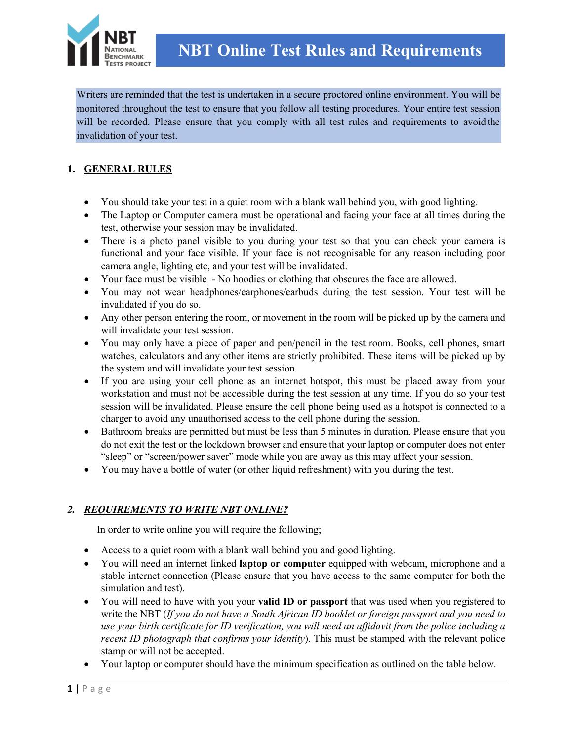

Writers are reminded that the test is undertaken in a secure proctored online environment. You will be monitored throughout the test to ensure that you follow all testing procedures. Your entire test session will be recorded. Please ensure that you comply with all test rules and requirements to avoidthe invalidation of your test.

# **1. GENERAL RULES**

- You should take your test in a quiet room with a blank wall behind you, with good lighting.
- The Laptop or Computer camera must be operational and facing your face at all times during the test, otherwise your session may be invalidated.
- There is a photo panel visible to you during your test so that you can check your camera is functional and your face visible. If your face is not recognisable for any reason including poor camera angle, lighting etc, and your test will be invalidated.
- Your face must be visible No hoodies or clothing that obscures the face are allowed.
- You may not wear headphones/earphones/earbuds during the test session. Your test will be invalidated if you do so.
- Any other person entering the room, or movement in the room will be picked up by the camera and will invalidate your test session.
- You may only have a piece of paper and pen/pencil in the test room. Books, cell phones, smart watches, calculators and any other items are strictly prohibited. These items will be picked up by the system and will invalidate your test session.
- If you are using your cell phone as an internet hotspot, this must be placed away from your workstation and must not be accessible during the test session at any time. If you do so your test session will be invalidated. Please ensure the cell phone being used as a hotspot is connected to a charger to avoid any unauthorised access to the cell phone during the session.
- Bathroom breaks are permitted but must be less than 5 minutes in duration. Please ensure that you do not exit the test or the lockdown browser and ensure that your laptop or computer does not enter "sleep" or "screen/power saver" mode while you are away as this may affect your session.
- You may have a bottle of water (or other liquid refreshment) with you during the test.

## *2. REQUIREMENTS TO WRITE NBT ONLINE?*

In order to write online you will require the following;

- Access to a quiet room with a blank wall behind you and good lighting.
- You will need an internet linked **laptop or computer** equipped with webcam, microphone and a stable internet connection (Please ensure that you have access to the same computer for both the simulation and test).
- You will need to have with you your **valid ID or passport** that was used when you registered to write the NBT (*If you do not have a South African ID booklet or foreign passport and you need to use your birth certificate for ID verification, you will need an affidavit from the police including a recent ID photograph that confirms your identity*). This must be stamped with the relevant police stamp or will not be accepted.
- Your laptop or computer should have the minimum specification as outlined on the table below.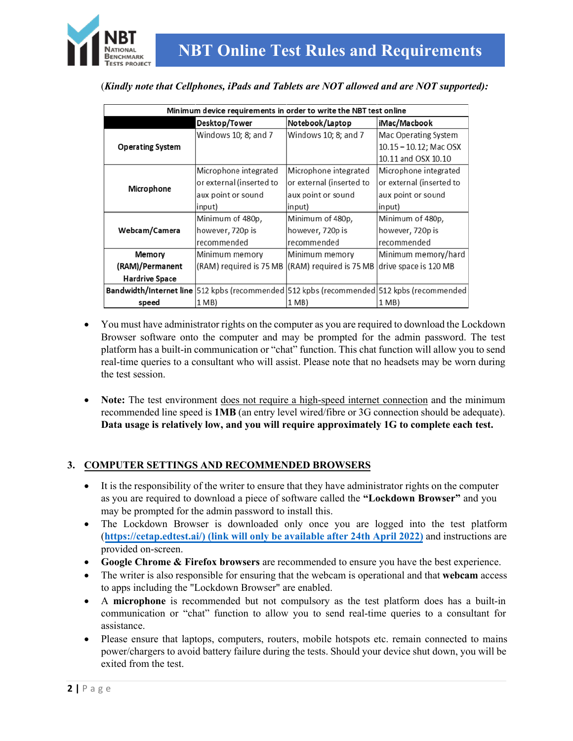

(*Kindly note that Cellphones, iPads and Tablets are NOT allowed and are NOT supported):* 

| Minimum device requirements in order to write the NBT test online |                          |                          |                                                                                                  |
|-------------------------------------------------------------------|--------------------------|--------------------------|--------------------------------------------------------------------------------------------------|
|                                                                   | Desktop/Tower            | Notebook/Laptop          | iMac/Macbook                                                                                     |
| <b>Operating System</b>                                           | Windows 10; 8; and 7     | Windows 10: 8: and 7     | Mac Operating System                                                                             |
|                                                                   |                          |                          | $10.15 - 10.12$ ; Mac OSX                                                                        |
|                                                                   |                          |                          | 10.11 and OSX 10.10                                                                              |
| Microphone                                                        | Microphone integrated    | Microphone integrated    | Microphone integrated                                                                            |
|                                                                   | or external (inserted to | or external (inserted to | or external (inserted to                                                                         |
|                                                                   | aux point or sound       | aux point or sound       | aux point or sound                                                                               |
|                                                                   | (input                   | input)                   | input)                                                                                           |
| Webcam/Camera                                                     | Minimum of 480p,         | Minimum of 480p,         | Minimum of 480p,                                                                                 |
|                                                                   | however, 720p is         | however, 720p is         | however, 720p is                                                                                 |
|                                                                   | recommended              | recommended              | recommended                                                                                      |
| Memory                                                            | Minimum memory           | Minimum memory           | Minimum memory/hard                                                                              |
| (RAM)/Permanent                                                   | (RAM) required is 75 MB  | (RAM) required is 75 MB  | drive space is 120 MB                                                                            |
| <b>Hardrive Space</b>                                             |                          |                          |                                                                                                  |
|                                                                   |                          |                          | <b>Bandwidth/Internet line</b> 512 kpbs (recommended 512 kpbs (recommended 512 kpbs (recommended |
| speed                                                             | 1 MB)                    | 1 MB)                    | 1 MB)                                                                                            |

- You must have administrator rights on the computer as you are required to download the Lockdown Browser software onto the computer and may be prompted for the admin password. The test platform has a built-in communication or "chat" function. This chat function will allow you to send real-time queries to a consultant who will assist. Please note that no headsets may be worn during the test session.
- **Note:** The test environment does not require a high-speed internet connection and the minimum recommended line speed is **1MB** (an entry level wired/fibre or 3G connection should be adequate). **Data usage is relatively low, and you will require approximately 1G to complete each test.**

## **3. COMPUTER SETTINGS AND RECOMMENDED BROWSERS**

- It is the responsibility of the writer to ensure that they have administrator rights on the computer as you are required to download a piece of software called the **"Lockdown Browser"** and you may be prompted for the admin password to install this.
- The Lockdown Browser is downloaded only once you are logged into the test platform (**[https://cetap.edtest.ai/\)](https://cetap.edtest.ai/) (link will only be available after 24th April 2022)** and instructions are provided on-screen.
- **Google Chrome & Firefox browsers** are recommended to ensure you have the best experience.
- The writer is also responsible for ensuring that the webcam is operational and that **webcam** access to apps including the "Lockdown Browser" are enabled.
- A **microphone** is recommended but not compulsory as the test platform does has a built-in communication or "chat" function to allow you to send real-time queries to a consultant for assistance.
- Please ensure that laptops, computers, routers, mobile hotspots etc. remain connected to mains power/chargers to avoid battery failure during the tests. Should your device shut down, you will be exited from the test.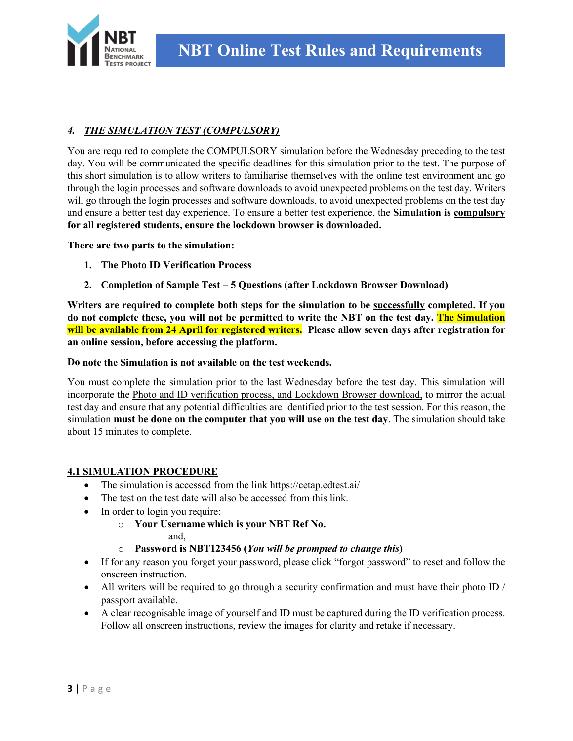

## *4. THE SIMULATION TEST (COMPULSORY)*

You are required to complete the COMPULSORY simulation before the Wednesday preceding to the test day. You will be communicated the specific deadlines for this simulation prior to the test. The purpose of this short simulation is to allow writers to familiarise themselves with the online test environment and go through the login processes and software downloads to avoid unexpected problems on the test day. Writers will go through the login processes and software downloads, to avoid unexpected problems on the test day and ensure a better test day experience. To ensure a better test experience, the **Simulation is compulsory for all registered students, ensure the lockdown browser is downloaded.** 

**There are two parts to the simulation:**

- **1. The Photo ID Verification Process**
- **2. Completion of Sample Test 5 Questions (after Lockdown Browser Download)**

**Writers are required to complete both steps for the simulation to be successfully completed. If you do not complete these, you will not be permitted to write the NBT on the test day. The Simulation will be available from 24 April for registered writers. Please allow seven days after registration for an online session, before accessing the platform.** 

#### **Do note the Simulation is not available on the test weekends.**

You must complete the simulation prior to the last Wednesday before the test day. This simulation will incorporate the Photo and ID verification process, and Lockdown Browser download, to mirror the actual test day and ensure that any potential difficulties are identified prior to the test session. For this reason, the simulation **must be done on the computer that you will use on the test day**. The simulation should take about 15 minutes to complete.

#### **4.1 SIMULATION PROCEDURE**

- The simulation is accessed from the link<https://cetap.edtest.ai/>
- The test on the test date will also be accessed from this link.
- In order to login you require:
	- o **Your Username which is your NBT Ref No.**
		- and,
	- o **Password is NBT123456 (***You will be prompted to change this***)**
- If for any reason you forget your password, please click "forgot password" to reset and follow the onscreen instruction.
- All writers will be required to go through a security confirmation and must have their photo ID / passport available.
- A clear recognisable image of yourself and ID must be captured during the ID verification process. Follow all onscreen instructions, review the images for clarity and retake if necessary.